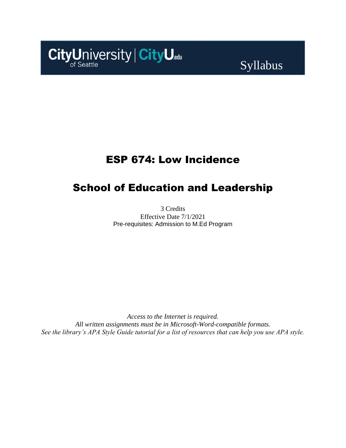

# Syllabus

## ESP 674: Low Incidence

## School of Education and Leadership

3 Credits Effective Date 7/1/2021 Pre-requisites: Admission to M.Ed Program

*Access to the Internet is required. All written assignments must be in Microsoft-Word-compatible formats. See the library's APA Style Guide tutorial for a list of resources that can help you use APA style.*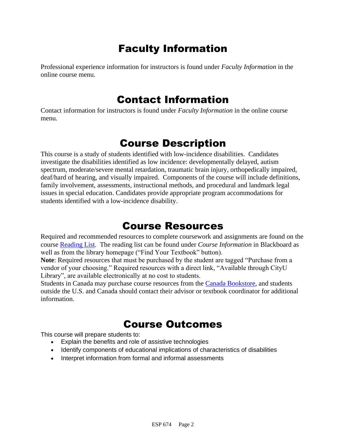# Faculty Information

Professional experience information for instructors is found under *Faculty Information* in the online course menu.

## Contact Information

Contact information for instructors is found under *Faculty Information* in the online course menu.

## Course Description

This course is a study of students identified with low-incidence disabilities. Candidates investigate the disabilities identified as low incidence: developmentally delayed, autism spectrum, moderate/severe mental retardation, traumatic brain injury, orthopedically impaired, deaf/hard of hearing, and visually impaired. Components of the course will include definitions, family involvement, assessments, instructional methods, and procedural and landmark legal issues in special education. Candidates provide appropriate program accommodations for students identified with a low-incidence disability.

## Course Resources

Required and recommended resources to complete coursework and assignments are found on the course [Reading List.](https://cityu.alma.exlibrisgroup.com/leganto/login?auth=SAML) The reading list can be found under *Course Information* in Blackboard as well as from the library homepage ("Find Your Textbook" button).

**Note**: Required resources that must be purchased by the student are tagged "Purchase from a vendor of your choosing." Required resources with a direct link, "Available through CityU Library", are available electronically at no cost to students.

Students in Canada may purchase course resources from the [Canada Bookstore,](https://www.cityubookstore.ca/index.asp) and students outside the U.S. and Canada should contact their advisor or textbook coordinator for additional information.

## Course Outcomes

This course will prepare students to:

- Explain the benefits and role of assistive technologies
- Identify components of educational implications of characteristics of disabilities
- Interpret information from formal and informal assessments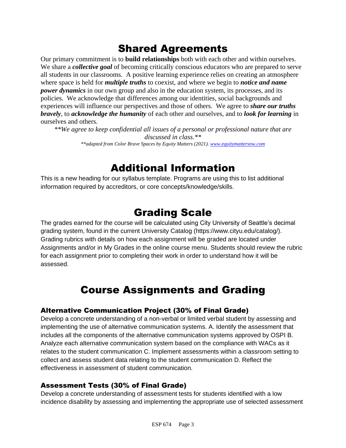# Shared Agreements

Our primary commitment is to **build relationships** both with each other and within ourselves. We share a *collective goal* of becoming critically conscious educators who are prepared to serve all students in our classrooms. A positive learning experience relies on creating an atmosphere where space is held for *multiple truths* to coexist, and where we begin to *notice and name power dynamics* in our own group and also in the education system, its processes, and its policies. We acknowledge that differences among our identities, social backgrounds and experiences will influence our perspectives and those of others*.* We agree to *share our truths bravely*, to *acknowledge the humanity* of each other and ourselves, and to *look for learning* in ourselves and others.

*\*\*We agree to keep confidential all issues of a personal or professional nature that are discussed in class.\*\* \*\*adapted from Color Brave Spaces by Equity Matters (2021). [www.equitymattersnw.com](http://www.equitymattersnw.com/)*

## Additional Information

This is a new heading for our syllabus template. Programs are using this to list additional information required by accreditors, or core concepts/knowledge/skills.

## Grading Scale

The grades earned for the course will be calculated using City University of Seattle's decimal grading system, found in the current University Catalog [\(https://www.cityu.edu/catalog/\)](https://www.cityu.edu/catalog/). Grading rubrics with details on how each assignment will be graded are located under Assignments and/or in My Grades in the online course menu. Students should review the rubric for each assignment prior to completing their work in order to understand how it will be assessed.

# Course Assignments and Grading

### Alternative Communication Project (30% of Final Grade)

Develop a concrete understanding of a non-verbal or limited verbal student by assessing and implementing the use of alternative communication systems. A. Identify the assessment that includes all the components of the alternative communication systems approved by OSPI B. Analyze each alternative communication system based on the compliance with WACs as it relates to the student communication C. Implement assessments within a classroom setting to collect and assess student data relating to the student communication D. Reflect the effectiveness in assessment of student communication.

### Assessment Tests (30% of Final Grade)

Develop a concrete understanding of assessment tests for students identified with a low incidence disability by assessing and implementing the appropriate use of selected assessment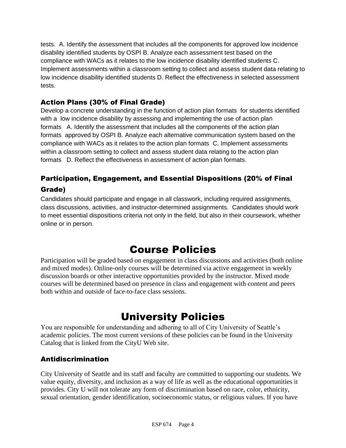tests. A. Identify the assessment that includes all the components for approved low incidence disability identified students by OSPI B. Analyze each assessment test based on the compliance with WACs as it relates to the low incidence disability identified students C. Implement assessments within a classroom setting to collect and assess student data relating to low incidence disability identified students D. Reflect the effectiveness in selected assessment tests.

### Action Plans (30% of Final Grade)

Develop a concrete understanding in the function of action plan formats for students identified with a low incidence disability by assessing and implementing the use of action plan formats A. Identify the assessment that includes all the components of the action plan formats approved by OSPI B. Analyze each alternative communication system based on the compliance with WACs as it relates to the action plan formats C. Implement assessments within a classroom setting to collect and assess student data relating to the action plan formats D. Reflect the effectiveness in assessment of action plan formats.

## Participation, Engagement, and Essential Dispositions (20% of Final Grade)

Candidates should participate and engage in all classwork, including required assignments, class discussions, activities, and instructor-determined assignments. Candidates should work to meet essential dispositions criteria not only in the field, but also in their coursework, whether online or in person.

# Course Policies

Participation will be graded based on engagement in class discussions and activities (both online and mixed modes). Online-only courses will be determined via active engagement in weekly discussion boards or other interactive opportunities provided by the instructor. Mixed mode courses will be determined based on presence in class and engagement with content and peers both within and outside of face-to-face class sessions.

# University Policies

You are responsible for understanding and adhering to all of City University of Seattle's academic policies. The most current versions of these policies can be found in the University Catalog that is linked from the CityU Web site.

### Antidiscrimination

City University of Seattle and its staff and faculty are committed to supporting our students. We value equity, diversity, and inclusion as a way of life as well as the educational opportunities it provides. City U will not tolerate any form of discrimination based on race, color, ethnicity, sexual orientation, gender identification, socioeconomic status, or religious values. If you have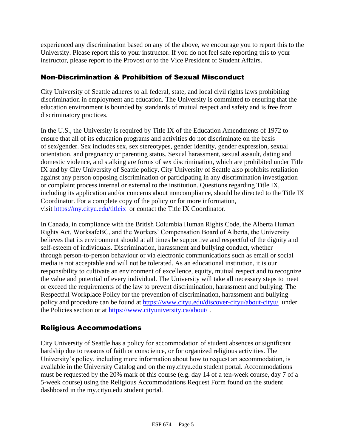experienced any discrimination based on any of the above, we encourage you to report this to the University. Please report this to your instructor. If you do not feel safe reporting this to your instructor, please report to the Provost or to the Vice President of Student Affairs.

### Non-Discrimination & Prohibition of Sexual Misconduct

City University of Seattle adheres to all federal, state, and local civil rights laws prohibiting discrimination in employment and education. The University is committed to ensuring that the education environment is bounded by standards of mutual respect and safety and is free from discriminatory practices.

In the U.S., the University is required by Title IX of the Education Amendments of 1972 to ensure that all of its education programs and activities do not discriminate on the basis of sex/gender. Sex includes sex, sex stereotypes, gender identity, gender expression, sexual orientation, and pregnancy or parenting status. Sexual harassment, sexual assault, dating and domestic violence, and stalking are forms of sex discrimination, which are prohibited under Title IX and by City University of Seattle policy. City University of Seattle also prohibits retaliation against any person opposing discrimination or participating in any discrimination investigation or complaint process internal or external to the institution. Questions regarding Title IX, including its application and/or concerns about noncompliance, should be directed to the Title IX Coordinator. For a complete copy of the policy or for more information, visit [https://my.cityu.edu/titleix](https://nam11.safelinks.protection.outlook.com/?url=https%3A%2F%2Fmy.cityu.edu%2Ftitleix&data=04%7C01%7Claker%40cityu.edu%7Cbc558c70c10340dbaa2408d9172365a0%7Cb3fa96d9f5154662add763d854e39e63%7C1%7C0%7C637566263054321964%7CUnknown%7CTWFpbGZsb3d8eyJWIjoiMC4wLjAwMDAiLCJQIjoiV2luMzIiLCJBTiI6Ik1haWwiLCJXVCI6Mn0%3D%7C1000&sdata=GX0hgfxN2OMKFTKjD04gqvwwyU44mfnCmEdCtsEzab0%3D&reserved=0) or contact the Title IX Coordinator.

In Canada, in compliance with the British Columbia Human Rights Code, the Alberta Human Rights Act, WorksafeBC, and the Workers' Compensation Board of Alberta, the University believes that its environment should at all times be supportive and respectful of the dignity and self-esteem of individuals. Discrimination, harassment and bullying conduct, whether through person-to-person behaviour or via electronic communications such as email or social media is not acceptable and will not be tolerated. As an educational institution, it is our responsibility to cultivate an environment of excellence, equity, mutual respect and to recognize the value and potential of every individual. The University will take all necessary steps to meet or exceed the requirements of the law to prevent discrimination, harassment and bullying. The Respectful Workplace Policy for the prevention of discrimination, harassment and bullying policy and procedure can be found at [https://www.cityu.edu/discover-cityu/about-cityu/](https://nam11.safelinks.protection.outlook.com/?url=https%3A%2F%2Fwww.cityu.edu%2Fdiscover-cityu%2Fabout-cityu%2F&data=04%7C01%7Claker%40cityu.edu%7Cbc558c70c10340dbaa2408d9172365a0%7Cb3fa96d9f5154662add763d854e39e63%7C1%7C0%7C637566263054331957%7CUnknown%7CTWFpbGZsb3d8eyJWIjoiMC4wLjAwMDAiLCJQIjoiV2luMzIiLCJBTiI6Ik1haWwiLCJXVCI6Mn0%3D%7C1000&sdata=7Q6QoqwuNLfeOJPewViWSeIwRIBy%2BoqDOiP8xSHYm78%3D&reserved=0) under the Policies section or at [https://www.cityuniversity.ca/about/](https://nam11.safelinks.protection.outlook.com/?url=https%3A%2F%2Fwww.cityuniversity.ca%2Fabout%2F&data=04%7C01%7Claker%40cityu.edu%7Cbc558c70c10340dbaa2408d9172365a0%7Cb3fa96d9f5154662add763d854e39e63%7C1%7C0%7C637566263054331957%7CUnknown%7CTWFpbGZsb3d8eyJWIjoiMC4wLjAwMDAiLCJQIjoiV2luMzIiLCJBTiI6Ik1haWwiLCJXVCI6Mn0%3D%7C1000&sdata=TX6bXEiU0CC6hC1mrTnKpuJywbR06qAj7RMu8QC4RUA%3D&reserved=0) .

### Religious Accommodations

City University of Seattle has a policy for accommodation of student absences or significant hardship due to reasons of faith or conscience, or for organized religious activities. The University's policy, including more information about how to request an accommodation, is available in the University Catalog and on the my.cityu.edu student portal. Accommodations must be requested by the 20% mark of this course (e.g. day 14 of a ten-week course, day 7 of a 5-week course) using the Religious Accommodations Request Form found on the student dashboard in the my.cityu.edu student portal.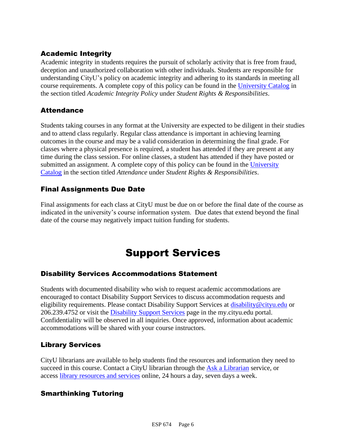## Academic Integrity

Academic integrity in students requires the pursuit of scholarly activity that is free from fraud, deception and unauthorized collaboration with other individuals. Students are responsible for understanding CityU's policy on academic integrity and adhering to its standards in meeting all course requirements. A complete copy of this policy can be found in the [University Catalog](https://nam11.safelinks.protection.outlook.com/?url=http%3A%2F%2Fwww.cityu.edu%2Fcatalog%2F&data=04%7C01%7Claker%40cityu.edu%7Cbc558c70c10340dbaa2408d9172365a0%7Cb3fa96d9f5154662add763d854e39e63%7C1%7C0%7C637566263054341952%7CUnknown%7CTWFpbGZsb3d8eyJWIjoiMC4wLjAwMDAiLCJQIjoiV2luMzIiLCJBTiI6Ik1haWwiLCJXVCI6Mn0%3D%7C1000&sdata=aL6fsSyLtVzJgdrlE9PtZXb%2F3H6wCdrvPcw4zOoEYTI%3D&reserved=0) in the section titled *Academic Integrity Policy* under *Student Rights & Responsibilities*.

### **Attendance**

Students taking courses in any format at the University are expected to be diligent in their studies and to attend class regularly. Regular class attendance is important in achieving learning outcomes in the course and may be a valid consideration in determining the final grade. For classes where a physical presence is required, a student has attended if they are present at any time during the class session. For online classes, a student has attended if they have posted or submitted an assignment. A complete copy of this policy can be found in the [University](https://nam11.safelinks.protection.outlook.com/?url=http%3A%2F%2Fwww.cityu.edu%2Fcatalog%2F&data=04%7C01%7Claker%40cityu.edu%7Cbc558c70c10340dbaa2408d9172365a0%7Cb3fa96d9f5154662add763d854e39e63%7C1%7C0%7C637566263054341952%7CUnknown%7CTWFpbGZsb3d8eyJWIjoiMC4wLjAwMDAiLCJQIjoiV2luMzIiLCJBTiI6Ik1haWwiLCJXVCI6Mn0%3D%7C1000&sdata=aL6fsSyLtVzJgdrlE9PtZXb%2F3H6wCdrvPcw4zOoEYTI%3D&reserved=0)  [Catalog](https://nam11.safelinks.protection.outlook.com/?url=http%3A%2F%2Fwww.cityu.edu%2Fcatalog%2F&data=04%7C01%7Claker%40cityu.edu%7Cbc558c70c10340dbaa2408d9172365a0%7Cb3fa96d9f5154662add763d854e39e63%7C1%7C0%7C637566263054341952%7CUnknown%7CTWFpbGZsb3d8eyJWIjoiMC4wLjAwMDAiLCJQIjoiV2luMzIiLCJBTiI6Ik1haWwiLCJXVCI6Mn0%3D%7C1000&sdata=aL6fsSyLtVzJgdrlE9PtZXb%2F3H6wCdrvPcw4zOoEYTI%3D&reserved=0) in the section titled *Attendance* under *Student Rights & Responsibilities*.

### Final Assignments Due Date

Final assignments for each class at CityU must be due on or before the final date of the course as indicated in the university's course information system. Due dates that extend beyond the final date of the course may negatively impact tuition funding for students.

# Support Services

### Disability Services Accommodations Statement

Students with documented disability who wish to request academic accommodations are encouraged to contact Disability Support Services to discuss accommodation requests and eligibility requirements. Please contact Disability Support Services at [disability@cityu.edu](mailto:disability@cityu.edu) or 206.239.4752 or visit the [Disability Support Services](https://nam11.safelinks.protection.outlook.com/?url=https%3A%2F%2Fmy.cityu.edu%2Fdepartment%2Fdisability-support-services%2F&data=04%7C01%7Claker%40cityu.edu%7Cbc558c70c10340dbaa2408d9172365a0%7Cb3fa96d9f5154662add763d854e39e63%7C1%7C0%7C637566263054351946%7CUnknown%7CTWFpbGZsb3d8eyJWIjoiMC4wLjAwMDAiLCJQIjoiV2luMzIiLCJBTiI6Ik1haWwiLCJXVCI6Mn0%3D%7C1000&sdata=e%2FOzbhqrB5SP38rzkwNSwviN3V%2Fv%2BsJNtdettuKSolw%3D&reserved=0) page in the my.cityu.edu portal. Confidentiality will be observed in all inquiries. Once approved, information about academic accommodations will be shared with your course instructors.

### Library Services

CityU librarians are available to help students find the resources and information they need to succeed in this course. Contact a CityU librarian through the [Ask a Librarian](https://nam11.safelinks.protection.outlook.com/?url=http%3A%2F%2Flibrary.cityu.edu%2Fask-a-librarian%2F&data=04%7C01%7Claker%40cityu.edu%7Cbc558c70c10340dbaa2408d9172365a0%7Cb3fa96d9f5154662add763d854e39e63%7C1%7C0%7C637566263054351946%7CUnknown%7CTWFpbGZsb3d8eyJWIjoiMC4wLjAwMDAiLCJQIjoiV2luMzIiLCJBTiI6Ik1haWwiLCJXVCI6Mn0%3D%7C1000&sdata=N%2Fk3bR2W%2BVUXK4b%2BZd83weGqJbtI4y9O3CdOuOW7%2BiA%3D&reserved=0) service, or access [library resources and services](https://nam11.safelinks.protection.outlook.com/?url=http%3A%2F%2Flibrary.cityu.edu%2F&data=04%7C01%7Claker%40cityu.edu%7Cbc558c70c10340dbaa2408d9172365a0%7Cb3fa96d9f5154662add763d854e39e63%7C1%7C0%7C637566263054361941%7CUnknown%7CTWFpbGZsb3d8eyJWIjoiMC4wLjAwMDAiLCJQIjoiV2luMzIiLCJBTiI6Ik1haWwiLCJXVCI6Mn0%3D%7C1000&sdata=4K7GoPDJosgIt0XDdVisT%2BGn6DZa5bSz0lhZSyjH7kU%3D&reserved=0) online, 24 hours a day, seven days a week.

### Smarthinking Tutoring